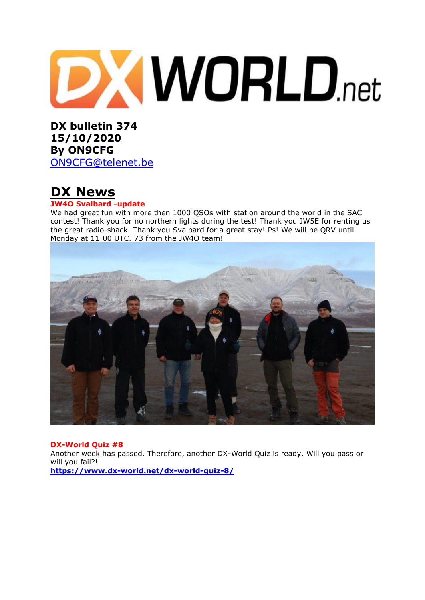

**DX bulletin 374 15/10/2020 By ON9CFG**  [ON9CFG@telenet.be](mailto:ON9CFG@telenet.be)

# **DX News**

#### **JW4O Svalbard -update**

We had great fun with more then 1000 QSOs with station around the world in the SAC contest! Thank you for no northern lights during the test! Thank you JW5E for renting us the great radio-shack. Thank you Svalbard for a great stay! Ps! We will be QRV until Monday at 11:00 UTC. 73 from the JW4O team!



#### **DX-World Quiz #8**

Another week has passed. Therefore, another DX-World Quiz is ready. Will you pass or will you fail?! **<https://www.dx-world.net/dx-world-quiz-8/>**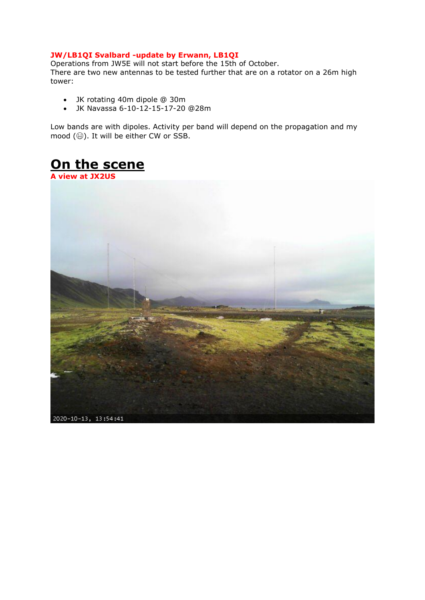#### **JW/LB1QI Svalbard -update by Erwann, LB1QI**

Operations from JW5E will not start before the 15th of October. There are two new antennas to be tested further that are on a rotator on a 26m high tower:

- JK rotating 40m dipole @ 30m
- JK Navassa 6-10-12-15-17-20 @28m

Low bands are with dipoles. Activity per band will depend on the propagation and my mood  $(\circledast)$ . It will be either CW or SSB.

# **On the scene**

**A view at JX2US**

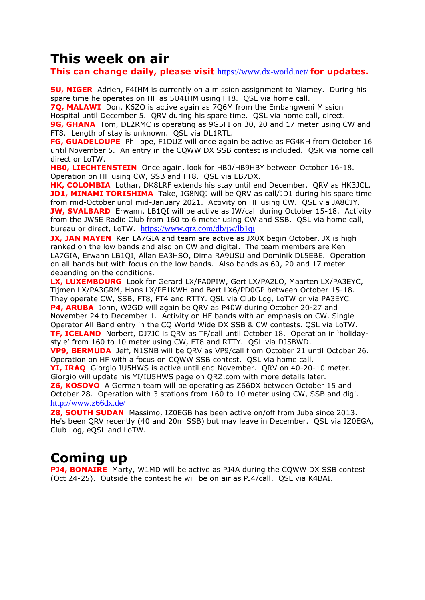### **This week on air**

**This can change daily, please visit** <https://www.dx-world.net/> **for updates.**

**5U, NIGER** Adrien, F4IHM is currently on a mission assignment to Niamey. During his spare time he operates on HF as 5U4IHM using FT8. QSL via home call.

**70, MALAWI** Don, K6ZO is active again as 706M from the Embangweni Mission Hospital until December 5. QRV during his spare time. QSL via home call, direct.

**9G, GHANA** Tom, DL2RMC is operating as 9G5FI on 30, 20 and 17 meter using CW and FT8. Length of stay is unknown. QSL via DL1RTL.

**FG, GUADELOUPE** Philippe, F1DUZ will once again be active as FG4KH from October 16 until November 5. An entry in the CQWW DX SSB contest is included. QSK via home call direct or LoTW.

**HBO, LIECHTENSTEIN** Once again, look for HB0/HB9HBY between October 16-18. Operation on HF using CW, SSB and FT8. QSL via EB7DX.

**HK, COLOMBIA** Lothar, DK8LRF extends his stay until end December. QRV as HK3JCL. **JD1, MINAMI TORISHIMA** Take, JG8NOJ will be ORV as call/JD1 during his spare time from mid-October until mid-January 2021. Activity on HF using CW. QSL via JA8CJY. **JW, SVALBARD** Erwann, LB1QI will be active as JW/call during October 15-18. Activity from the JW5E Radio Club from 160 to 6 meter using CW and SSB. QSL via home call, bureau or direct, LoTW. <https://www.qrz.com/db/jw/lb1qi>

**JX, JAN MAYEN** Ken LA7GIA and team are active as JX0X begin October. JX is high ranked on the low bands and also on CW and digital. The team members are Ken LA7GIA, Erwann LB1QI, Allan EA3HSO, Dima RA9USU and Dominik DL5EBE. Operation on all bands but with focus on the low bands. Also bands as 60, 20 and 17 meter depending on the conditions.

**LX, LUXEMBOURG** Look for Gerard LX/PA0PIW, Gert LX/PA2LO, Maarten LX/PA3EYC, Tijmen LX/PA3GRM, Hans LX/PE1KWH and Bert LX6/PD0GP between October 15-18. They operate CW, SSB, FT8, FT4 and RTTY. QSL via Club Log, LoTW or via PA3EYC. **P4, ARUBA** John, W2GD will again be QRV as P40W during October 20-27 and November 24 to December 1. Activity on HF bands with an emphasis on CW. Single Operator All Band entry in the CQ World Wide DX SSB & CW contests. QSL via LoTW. **TF, ICELAND** Norbert, DJ7JC is QRV as TF/call until October 18. Operation in 'holidaystyle' from 160 to 10 meter using CW, FT8 and RTTY. QSL via DJ5BWD.

**VP9, BERMUDA** Jeff, N1SNB will be QRV as VP9/call from October 21 until October 26. Operation on HF with a focus on CQWW SSB contest. QSL via home call.

**YI, IRAQ** Giorgio IU5HWS is active until end November. QRV on 40-20-10 meter. Giorgio will update his YI/IU5HWS page on QRZ.com with more details later.

**Z6, KOSOVO** A German team will be operating as Z66DX between October 15 and October 28. Operation with 3 stations from 160 to 10 meter using CW, SSB and digi. <http://www.z66dx.de/>

**Z8, SOUTH SUDAN** Massimo, IZ0EGB has been active on/off from Juba since 2013. He's been QRV recently (40 and 20m SSB) but may leave in December. QSL via IZ0EGA, Club Log, eQSL and LoTW.

# **Coming up**

**PJ4, BONAIRE** Marty, W1MD will be active as PJ4A during the COWW DX SSB contest (Oct 24-25). Outside the contest he will be on air as PJ4/call. QSL via K4BAI.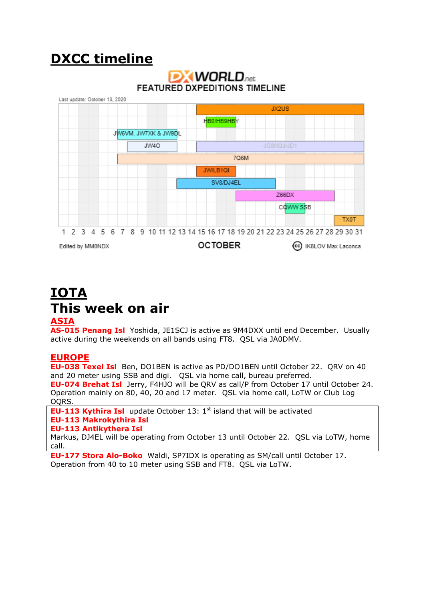# **DXCC timeline**



### **IOTA This week on air ASIA**

**AS-015 Penang Isl** Yoshida, JE1SCJ is active as 9M4DXX until end December. Usually active during the weekends on all bands using FT8. QSL via JA0DMV.

### **EUROPE**

**EU-038 Texel Isl** Ben, DO1BEN is active as PD/DO1BEN until October 22. QRV on 40 and 20 meter using SSB and digi. QSL via home call, bureau preferred. **EU-074 Brehat Isl** Jerry, F4HJO will be QRV as call/P from October 17 until October 24. Operation mainly on 80, 40, 20 and 17 meter. QSL via home call, LoTW or Club Log OQRS.

**EU-113 Kythira Isl** update October 13: 1<sup>st</sup> island that will be activated **EU-113 Makrokythira Isl EU-113 Antikythera Isl**

Markus, DJ4EL will be operating from October 13 until October 22. QSL via LoTW, home call.

**EU-177 Stora Alo-Boko** Waldi, SP7IDX is operating as SM/call until October 17. Operation from 40 to 10 meter using SSB and FT8. QSL via LoTW.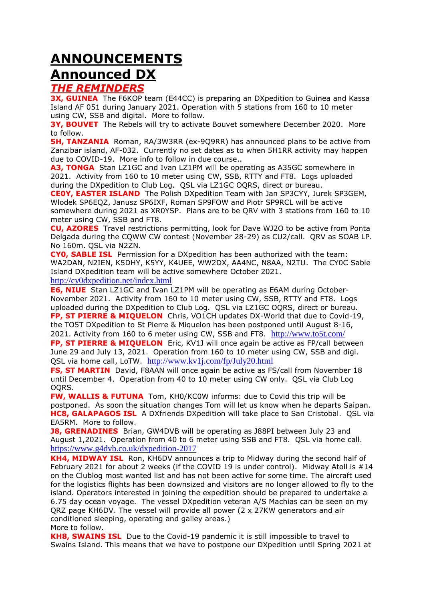# **ANNOUNCEMENTS**

### **Announced DX**

### *THE REMINDERS*

**3X, GUINEA** The F6KOP team (E44CC) is preparing an DXpedition to Guinea and Kassa Island AF 051 during January 2021. Operation with 5 stations from 160 to 10 meter using CW, SSB and digital. More to follow.

**3Y, BOUVET** The Rebels will try to activate Bouvet somewhere December 2020. More to follow.

**5H, TANZANIA** Roman, RA/3W3RR (ex-909RR) has announced plans to be active from Zanzibar island, AF-032. Currently no set dates as to when 5H1RR activity may happen due to COVID-19. More info to follow in due course..

**A3, TONGA** Stan LZ1GC and Ivan LZ1PM will be operating as A35GC somewhere in 2021. Activity from 160 to 10 meter using CW, SSB, RTTY and FT8. Logs uploaded during the DXpedition to Club Log. QSL via LZ1GC OQRS, direct or bureau.

**CE0Y, EASTER ISLAND** The Polish DXpedition Team with Jan SP3CYY, Jurek SP3GEM, Wlodek SP6EQZ, Janusz SP6IXF, Roman SP9FOW and Piotr SP9RCL will be active somewhere during 2021 as XR0YSP. Plans are to be QRV with 3 stations from 160 to 10 meter using CW, SSB and FT8.

**CU, AZORES** Travel restrictions permitting, look for Dave WJ2O to be active from Ponta Delgada during the CQWW CW contest (November 28-29) as CU2/call. QRV as SOAB LP. No 160m. QSL via N2ZN.

**CY0, SABLE ISL** Permission for a DXpedition has been authorized with the team: WA2DAN, N2IEN, K5DHY, K5YY, K4UEE, WW2DX, AA4NC, N8AA, N2TU. The CY0C Sable Island DXpedition team will be active somewhere October 2021.

<http://cy0dxpedition.net/index.html>

**E6, NIUE** Stan LZ1GC and Ivan LZ1PM will be operating as E6AM during October-November 2021. Activity from 160 to 10 meter using CW, SSB, RTTY and FT8. Logs uploaded during the DXpedition to Club Log. QSL via LZ1GC OQRS, direct or bureau. **FP, ST PIERRE & MIQUELON** Chris, VO1CH updates DX-World that due to Covid-19, the TO5T DXpedition to St Pierre & Miquelon has been postponed until August 8-16, 2021. Activity from 160 to 6 meter using CW, SSB and FT8. <http://www.to5t.com/>

**FP, ST PIERRE & MIQUELON** Eric, KV1J will once again be active as FP/call between June 29 and July 13, 2021. Operation from 160 to 10 meter using CW, SSB and digi. QSL via home call, LoTW. <http://www.kv1j.com/fp/July20.html>

**FS, ST MARTIN** David, F8AAN will once again be active as FS/call from November 18 until December 4. Operation from 40 to 10 meter using CW only. QSL via Club Log OQRS.

**FW, WALLIS & FUTUNA** Tom, KH0/KC0W informs: due to Covid this trip will be postponed. As soon the situation changes Tom will let us know when he departs Saipan. **HC8, GALAPAGOS ISL** A DXfriends DXpedition will take place to San Cristobal. OSL via EA5RM. More to follow.

**J8, GRENADINES** Brian, GW4DVB will be operating as J88PI between July 23 and August 1,2021. Operation from 40 to 6 meter using SSB and FT8. QSL via home call. <https://www.g4dvb.co.uk/dxpedition-2017>

**KH4, MIDWAY ISL** Ron, KH6DV announces a trip to Midway during the second half of February 2021 for about 2 weeks (if the COVID 19 is under control). Midway Atoll is #14 on the Clublog most wanted list and has not been active for some time. The aircraft used for the logistics flights has been downsized and visitors are no longer allowed to fly to the island. Operators interested in joining the expedition should be prepared to undertake a 6.75 day ocean voyage. The vessel DXpedition veteran A/S Machias can be seen on my QRZ page KH6DV. The vessel will provide all power (2 x 27KW generators and air conditioned sleeping, operating and galley areas.) More to follow.

**KH8, SWAINS ISL** Due to the Covid-19 pandemic it is still impossible to travel to Swains Island. This means that we have to postpone our DXpedition until Spring 2021 at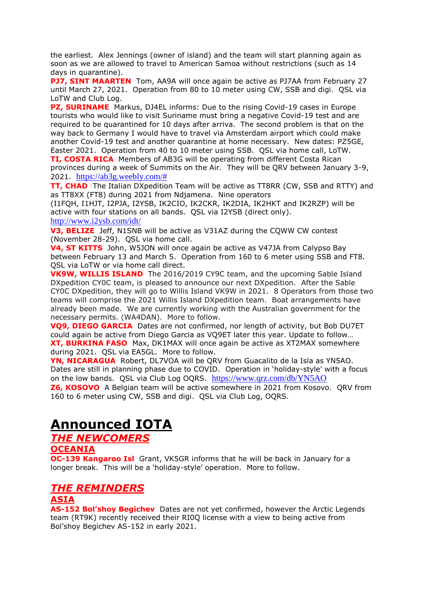the earliest. Alex Jennings (owner of island) and the team will start planning again as soon as we are allowed to travel to American Samoa without restrictions (such as 14 days in quarantine).

**PJ7, SINT MAARTEN** Tom, AA9A will once again be active as PJ7AA from February 27 until March 27, 2021. Operation from 80 to 10 meter using CW, SSB and digi. QSL via LoTW and Club Log.

**PZ, SURINAME** Markus, DJ4EL informs: Due to the rising Covid-19 cases in Europe tourists who would like to visit Suriname must bring a negative Covid-19 test and are required to be quarantined for 10 days after arriva. The second problem is that on the way back to Germany I would have to travel via Amsterdam airport which could make another Covid-19 test and another quarantine at home necessary. New dates: PZ5GE, Easter 2021. Operation from 40 to 10 meter using SSB. QSL via home call, LoTW.

**TI, COSTA RICA** Members of AB3G will be operating from different Costa Rican provinces during a week of Summits on the Air. They will be QRV between January 3-9, 2021. [https://ab3g.weebly.com/#](https://ab3g.weebly.com/)

**TT, CHAD** The Italian DXpedition Team will be active as TT8RR (CW, SSB and RTTY) and as TT8XX (FT8) during 2021 from Ndjamena. Nine operators

(I1FQH, I1HJT, I2PJA, I2YSB, IK2CIO, IK2CKR, IK2DIA, IK2HKT and IK2RZP) will be active with four stations on all bands. QSL via I2YSB (direct only). <http://www.i2ysb.com/idt/>

**V3, BELIZE** Jeff, N1SNB will be active as V31AZ during the CQWW CW contest (November 28-29). QSL via home call.

**V4, ST KITTS** John, W5JON will once again be active as V47JA from Calypso Bay between February 13 and March 5. Operation from 160 to 6 meter using SSB and FT8. QSL via LoTW or via home call direct.

**VK9W, WILLIS ISLAND** The 2016/2019 CY9C team, and the upcoming Sable Island DXpedition CY0C team, is pleased to announce our next DXpedition. After the Sable CY0C DXpedition, they will go to Willis Island VK9W in 2021. 8 Operators from those two teams will comprise the 2021 Willis Island DXpedition team. Boat arrangements have already been made. We are currently working with the Australian government for the necessary permits. (WA4DAN). More to follow.

**VQ9, DIEGO GARCIA** Dates are not confirmed, nor length of activity, but Bob DU7ET could again be active from Diego Garcia as VQ9ET later this year. Update to follow… **XT, BURKINA FASO** Max, DK1MAX will once again be active as XT2MAX somewhere during 2021. QSL via EA5GL. More to follow.

**YN, NICARAGUA** Robert, DL7VOA will be QRV from Guacalito de la Isla as YN5AO. Dates are still in planning phase due to COVID. Operation in 'holiday-style' with a focus on the low bands. QSL via Club Log OQRS. <https://www.qrz.com/db/YN5AO>

**Z6, KOSOVO** A Belgian team will be active somewhere in 2021 from Kosovo. QRV from 160 to 6 meter using CW, SSB and digi. QSL via Club Log, OQRS.

### **Announced IOTA**

*THE NEWCOMERS*

#### **OCEANIA**

**OC-139 Kangaroo Isl** Grant, VK5GR informs that he will be back in January for a longer break. This will be a 'holiday-style' operation. More to follow.

### *THE REMINDERS*

#### **ASIA**

**AS-152 Bol'shoy Begichev** Dates are not yet confirmed, however the Arctic Legends team (RT9K) recently received their RI0Q license with a view to being active from Bol'shoy Begichev AS-152 in early 2021.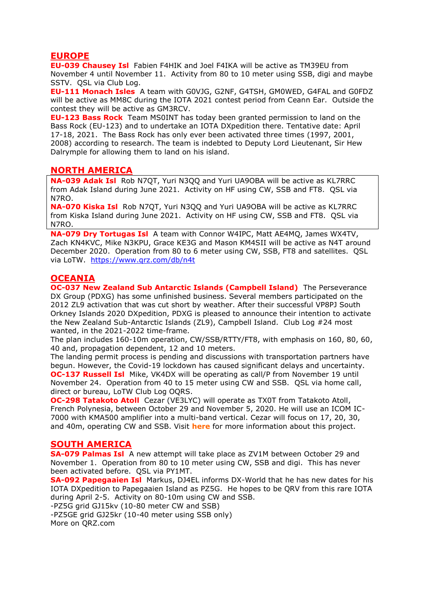#### **EUROPE**

**EU-039 Chausey Isl** Fabien F4HIK and Joel F4IKA will be active as TM39EU from November 4 until November 11. Activity from 80 to 10 meter using SSB, digi and maybe SSTV. OSL via Club Log.

**EU-111 Monach Isles** A team with G0VJG, G2NF, G4TSH, GM0WED, G4FAL and G0FDZ will be active as MM8C during the IOTA 2021 contest period from Ceann Ear. Outside the contest they will be active as GM3RCV.

**EU-123 Bass Rock** Team [MS0INT](https://www.qrz.com/db/ms0int) has today been granted permission to land on the Bass Rock (EU-123) and to undertake an IOTA DXpedition there. Tentative date: April 17-18, 2021. The Bass Rock has only ever been activated three times (1997, 2001, 2008) according to research. The team is indebted to Deputy Lord Lieutenant, Sir Hew Dalrymple for allowing them to land on his island.

#### **NORTH AMERICA**

**NA-039 Adak Isl** Rob N7QT, Yuri N3QQ and Yuri UA9OBA will be active as KL7RRC from Adak Island during June 2021. Activity on HF using CW, SSB and FT8. QSL via N7RO.

**NA-070 Kiska Isl** Rob N7QT, Yuri N3QQ and Yuri UA9OBA will be active as KL7RRC from Kiska Island during June 2021. Activity on HF using CW, SSB and FT8. QSL via N7RO.

**NA-079 Dry Tortugas Isl** A team with Connor W4IPC, Matt AE4MQ, James WX4TV, Zach KN4KVC, Mike N3KPU, Grace KE3G and Mason KM4SII will be active as N4T around December 2020. Operation from 80 to 6 meter using CW, SSB, FT8 and satellites. QSL via LoTW. <https://www.qrz.com/db/n4t>

#### **OCEANIA**

**OC-037 New Zealand Sub Antarctic Islands (Campbell Island)** The Perseverance DX Group (PDXG) has some unfinished business. Several members participated on the 2012 ZL9 activation that was cut short by weather. After their successful VP8PJ South Orkney Islands 2020 DXpedition, PDXG is pleased to announce their intention to activate the New Zealand Sub-Antarctic Islands (ZL9), Campbell Island. Club Log #24 most wanted, in the 2021-2022 time-frame.

The plan includes 160-10m operation, CW/SSB/RTTY/FT8, with emphasis on 160, 80, 60, 40 and, propagation dependent, 12 and 10 meters.

The landing permit process is pending and discussions with transportation partners have begun. However, the Covid-19 lockdown has caused significant delays and uncertainty. **OC-137 Russell Isl** Mike, VK4DX will be operating as call/P from November 19 until November 24. Operation from 40 to 15 meter using CW and SSB. QSL via home call, direct or bureau, LoTW Club Log OQRS.

**OC-298 Tatakoto Atoll** Cezar (VE3LYC) will operate as TX0T from Tatakoto Atoll, French Polynesia, between October 29 and November 5, 2020. He will use an ICOM IC-7000 with KMA500 amplifier into a multi-band vertical. Cezar will focus on 17, 20, 30, and 40m, operating CW and SSB. Visit **[here](https://tx0t.weebly.com/)** for more information about this project.

#### **SOUTH AMERICA**

**SA-079 Palmas Isl** A new attempt will take place as ZV1M between October 29 and November 1. Operation from 80 to 10 meter using CW, SSB and digi. This has never been activated before. QSL via PY1MT.

**SA-092 Papegaaien Isl** Markus, DJ4EL informs DX-World that he has new dates for his IOTA DXpedition to Papegaaien Island as PZ5G. He hopes to be QRV from this rare IOTA during April 2-5. Activity on 80-10m using CW and SSB.

-PZ5G grid GJ15kv (10-80 meter CW and SSB)

-PZ5GE grid GJ25kr (10-40 meter using SSB only) More on QRZ.com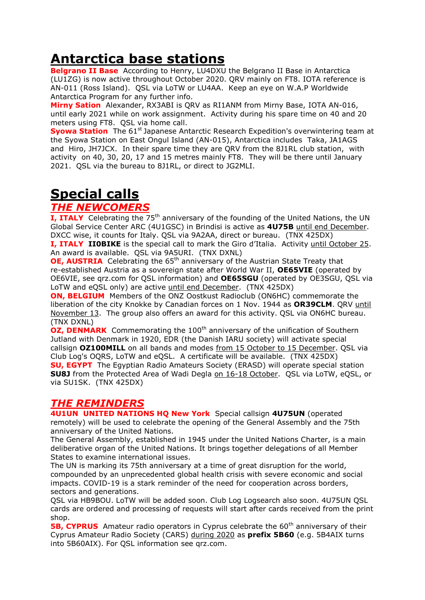# **Antarctica base stations**

**Belgrano II Base** According to Henry, LU4DXU the Belgrano II Base in Antarctica (LU1ZG) is now active throughout October 2020. QRV mainly on FT8. IOTA reference is AN-011 (Ross Island). QSL via LoTW or LU4AA. Keep an eye on W.A.P Worldwide Antarctica Program for any further info.

**Mirny Sation** Alexander, RX3ABI is QRV as RI1ANM from Mirny Base, IOTA AN-016, until early 2021 while on work assignment. Activity during his spare time on 40 and 20 meters using FT8. QSL via home call.

**Syowa Station** The 61<sup>st</sup> Japanese Antarctic Research Expedition's overwintering team at the Syowa Station on East Ongul Island (AN-015), Antarctica includes Taka, JA1AGS and Hiro, JH7JCX. In their spare time they are QRV from the 8J1RL club station, with activity on 40, 30, 20, 17 and 15 metres mainly FT8. They will be there until January 2021. QSL via the bureau to 8J1RL, or direct to JG2MLI.

# **Special calls**

### *THE NEWCOMERS*

**I, ITALY** Celebrating the 75<sup>th</sup> anniversary of the founding of the United Nations, the UN Global Service Center ARC (4U1GSC) in Brindisi is active as **4U75B** until end December. DXCC wise, it counts for Italy. QSL via 9A2AA, direct or bureau. (TNX 425DX) **I, ITALY II0BIKE** is the special call to mark the Giro d'Italia. Activity until October 25.

An award is available. QSL via 9A5URI. (TNX DXNL)

**OE, AUSTRIA** Celebrating the 65<sup>th</sup> anniversary of the Austrian State Treaty that re-established Austria as a sovereign state after World War II, **OE65VIE** (operated by OE6VIE, see qrz.com for QSL information) and **OE65SGU** (operated by OE3SGU, QSL via LoTW and eQSL only) are active until end December. (TNX 425DX)

**ON, BELGIUM** Members of the ONZ Oostkust Radioclub (ON6HC) commemorate the liberation of the city Knokke by Canadian forces on 1 Nov. 1944 as **OR39CLM**. QRV until November 13. The group also offers an award for this activity. QSL via ON6HC bureau. (TNX DXNL)

**OZ, DENMARK** Commemorating the 100<sup>th</sup> anniversary of the unification of Southern Jutland with Denmark in 1920, EDR (the Danish IARU society) will activate special callsign **OZ100MILL** on all bands and modes from 15 October to 15 December. QSL via Club Log's OQRS, LoTW and eQSL. A certificate will be available. (TNX 425DX) **SU, EGYPT** The Egyptian Radio Amateurs Society (ERASD) will operate special station **SU8J** from the Protected Area of Wadi Degla on 16-18 October. QSL via LoTW, eQSL, or via SU1SK. (TNX 425DX)

### *THE REMINDERS*

**4U1UN UNITED NATIONS HQ New York** Special callsign **4U75UN** (operated remotely) will be used to celebrate the opening of the General Assembly and the 75th anniversary of the United Nations.

The General Assembly, established in 1945 under the United Nations Charter, is a main deliberative organ of the United Nations. It brings together delegations of all Member States to examine international issues.

The UN is marking its 75th anniversary at a time of great disruption for the world, compounded by an unprecedented global health crisis with severe economic and social impacts. COVID-19 is a stark reminder of the need for cooperation across borders, sectors and generations.

QSL via HB9BOU. LoTW will be added soon. Club Log Logsearch also soon. 4U75UN QSL cards are ordered and processing of requests will start after cards received from the print shop.

**5B, CYPRUS** Amateur radio operators in Cyprus celebrate the 60<sup>th</sup> anniversary of their Cyprus Amateur Radio Society (CARS) during 2020 as **prefix 5B60** (e.g. 5B4AIX turns into 5B60AIX). For QSL information see qrz.com.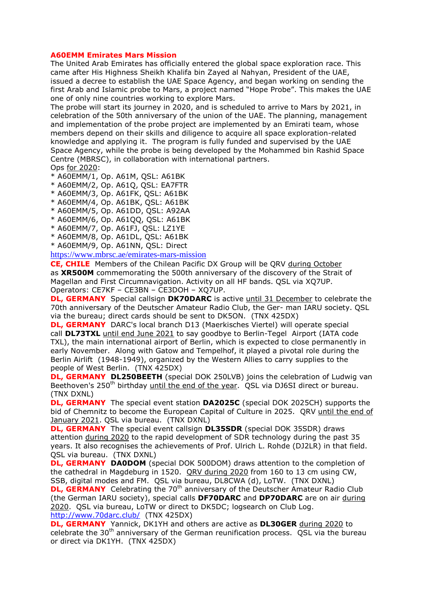#### **A60EMM Emirates Mars Mission**

The United Arab Emirates has officially entered the global space exploration race. This came after His Highness Sheikh Khalifa bin Zayed al Nahyan, President of the UAE, issued a decree to establish the UAE Space Agency, and began working on sending the first Arab and Islamic probe to Mars, a project named "Hope Probe". This makes the UAE one of only nine countries working to explore Mars.

The probe will start its journey in 2020, and is scheduled to arrive to Mars by 2021, in celebration of the 50th anniversary of the union of the UAE. The planning, management and implementation of the probe project are implemented by an Emirati team, whose members depend on their skills and diligence to acquire all space exploration-related knowledge and applying it. The program is fully funded and supervised by the UAE Space Agency, while the probe is being developed by the Mohammed bin Rashid Space Centre (MBRSC), in collaboration with international partners. Ops for 2020:

- \* A60EMM/1, Op. A61M, QSL: A61BK
- \* A60EMM/2, Op. A61Q, QSL: EA7FTR
- \* A60EMM/3, Op. A61FK, QSL: A61BK
- \* A60EMM/4, Op. A61BK, QSL: A61BK
- \* A60EMM/5, Op. A61DD, QSL: A92AA
- \* A60EMM/6, Op. A61QQ, QSL: A61BK
- \* A60EMM/7, Op. A61FJ, QSL: LZ1YE
- \* A60EMM/8, Op. A61DL, QSL: A61BK
- \* A60EMM/9, Op. A61NN, QSL: Direct
- <https://www.mbrsc.ae/emirates-mars-mission>

**CE, CHILE** Members of the Chilean Pacific DX Group will be QRV during October as **XR500M** commemorating the 500th anniversary of the discovery of the Strait of Magellan and First Circumnavigation. Activity on all HF bands. QSL via XQ7UP. Operators: CE7KF – CE3BN – CE3DOH – XQ7UP.

**DL, GERMANY** Special callsign **DK70DARC** is active until 31 December to celebrate the 70th anniversary of the Deutscher Amateur Radio Club, the Ger- man IARU society. QSL via the bureau; direct cards should be sent to DK5ON. (TNX 425DX)

**DL, GERMANY** DARC's local branch D13 (Maerkisches Viertel) will operate special call **DL73TXL** until end June 2021 to say goodbye to Berlin-Tegel Airport (IATA code TXL), the main international airport of Berlin, which is expected to close permanently in early November. Along with Gatow and Tempelhof, it played a pivotal role during the Berlin Airlift (1948-1949), organized by the Western Allies to carry supplies to the people of West Berlin. (TNX 425DX)

**DL, GERMANY DL250BEETH** (special DOK 250LVB) joins the celebration of Ludwig van Beethoven's  $250<sup>th</sup>$  birthday until the end of the year. QSL via DJ6SI direct or bureau. (TNX DXNL)

**DL, GERMANY** The special event station **DA2025C** (special DOK 2025CH) supports the bid of Chemnitz to become the European Capital of Culture in 2025. QRV until the end of January 2021. QSL via bureau. (TNX DXNL)

**DL, GERMANY** The special event callsign **DL35SDR** (special DOK 35SDR) draws attention during 2020 to the rapid development of SDR technology during the past 35 years. It also recognises the achievements of Prof. Ulrich L. Rohde (DJ2LR) in that field. QSL via bureau. (TNX DXNL)

**DL, GERMANY DA0DOM** (special DOK 500DOM) draws attention to the completion of the cathedral in Magdeburg in 1520. QRV during 2020 from 160 to 13 cm using CW, SSB, digital modes and FM. QSL via bureau, DL8CWA (d), LoTW. (TNX DXNL)

**DL, GERMANY** Celebrating the 70<sup>th</sup> anniversary of the Deutscher Amateur Radio Club (the German IARU society), special calls **DF70DARC** and **DP70DARC** are on air during 2020. QSL via bureau, LoTW or direct to DK5DC; logsearch on Club Log. <http://www.70darc.club/>(TNX 425DX)

**DL, GERMANY** Yannick, DK1YH and others are active as **DL30GER** during 2020 to celebrate the 30<sup>th</sup> anniversary of the German reunification process. QSL via the bureau or direct via DK1YH. (TNX 425DX)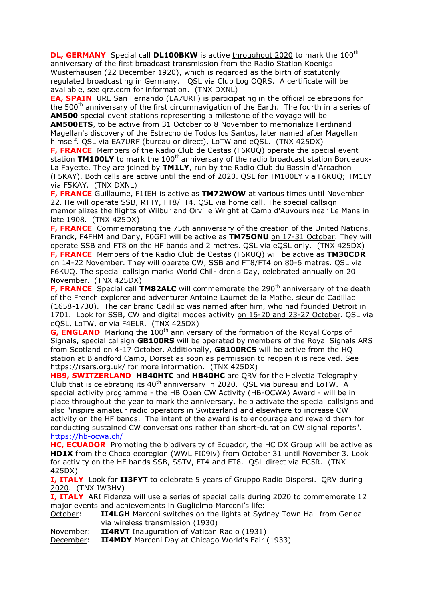**DL, GERMANY** Special call **DL100BKW** is active throughout 2020 to mark the 100<sup>th</sup> anniversary of the first broadcast transmission from the Radio Station Koenigs Wusterhausen (22 December 1920), which is regarded as the birth of statutorily regulated broadcasting in Germany. QSL via Club Log OQRS. A certificate will be available, see qrz.com for information. (TNX DXNL)

**EA, SPAIN** URE San Fernando (EA7URF) is participating in the official celebrations for the 500<sup>th</sup> anniversary of the first circumnavigation of the Earth. The fourth in a series of **AM500** special event stations representing a milestone of the voyage will be

**AM500ETS**, to be active from 31 October to 8 November to memorialize Ferdinand Magellan's discovery of the Estrecho de Todos los Santos, later named after Magellan himself. QSL via EA7URF (bureau or direct), LoTW and eQSL. (TNX 425DX)

**F, FRANCE** Members of the Radio Club de Cestas (F6KUQ) operate the special event station TM100LY to mark the 100<sup>th</sup> anniversary of the radio broadcast station Bordeaux-La Fayette. They are joined by **TM1LY**, run by the Radio Club du Bassin d'Arcachon (F5KAY). Both calls are active until the end of 2020. QSL for TM100LY via F6KUQ; TM1LY via F5KAY. (TNX DXNL)

**F, FRANCE** Guillaume, F1IEH is active as **TM72WOW** at various times until November 22. He will operate SSB, RTTY, FT8/FT4. QSL via home call. The special callsign memorializes the flights of Wilbur and Orville Wright at Camp d'Auvours near Le Mans in late 1908. (TNX 425DX)

**F, FRANCE** Commemorating the 75th anniversary of the creation of the United Nations, Franck, F4FHM and Dany, F0GFI will be active as **TM75ONU** on 17-31 October. They will operate SSB and FT8 on the HF bands and 2 metres. QSL via eQSL only. (TNX 425DX) **F, FRANCE** Members of the Radio Club de Cestas (F6KUQ) will be active as **TM30CDR** on 14-22 November. They will operate CW, SSB and FT8/FT4 on 80-6 metres. QSL via F6KUQ. The special callsign marks World Chil- dren's Day, celebrated annually on 20 November. (TNX 425DX)

**F, FRANCE** Special call **TM82ALC** will commemorate the 290<sup>th</sup> anniversary of the death of the French explorer and adventurer Antoine Laumet de la Mothe, sieur de Cadillac (1658-1730). The car brand Cadillac was named after him, who had founded Detroit in 1701. Look for SSB, CW and digital modes activity on 16-20 and 23-27 October. QSL via eQSL, LoTW, or via F4ELR. (TNX 425DX)

**G, ENGLAND** Marking the 100<sup>th</sup> anniversary of the formation of the Royal Corps of Signals, special callsign **GB100RS** will be operated by members of the Royal Signals ARS from Scotland on 4-17 October. Additionally, **GB100RCS** will be active from the HQ station at Blandford Camp, Dorset as soon as permission to reopen it is received. See https://rsars.org.uk/ for more information. (TNX 425DX)

**HB9, SWITZERLAND HB40HTC** and **HB40HC** are QRV for the Helvetia Telegraphy Club that is celebrating its  $40^{th}$  anniversary in 2020. QSL via bureau and LoTW. A special activity programme - the HB Open CW Activity (HB-OCWA) Award - will be in place throughout the year to mark the anniversary, help activate the special callsigns and also "inspire amateur radio operators in Switzerland and elsewhere to increase CW activity on the HF bands. The intent of the award is to encourage and reward them for conducting sustained CW conversations rather than short-duration CW signal reports". <https://hb-ocwa.ch/>

**HC, ECUADOR** Promoting the biodiversity of Ecuador, the HC DX Group will be active as **HD1X** from the Choco ecoregion (WWL FI09iv) from October 31 until November 3. Look for activity on the HF bands SSB, SSTV, FT4 and FT8. QSL direct via EC5R. (TNX 425DX)

**I, ITALY** Look for **II3FYT** to celebrate 5 years of Gruppo Radio Dispersi. QRV during 2020. (TNX IW3HV)

**I, ITALY** ARI Fidenza will use a series of special calls during 2020 to commemorate 12 major events and achievements in Guglielmo Marconi's life:

October: **II4LGH** Marconi switches on the lights at Sydney Town Hall from Genoa via wireless transmission (1930)

November: **II4RVT** Inauguration of Vatican Radio (1931)

December: **II4MDY** Marconi Day at Chicago World's Fair (1933)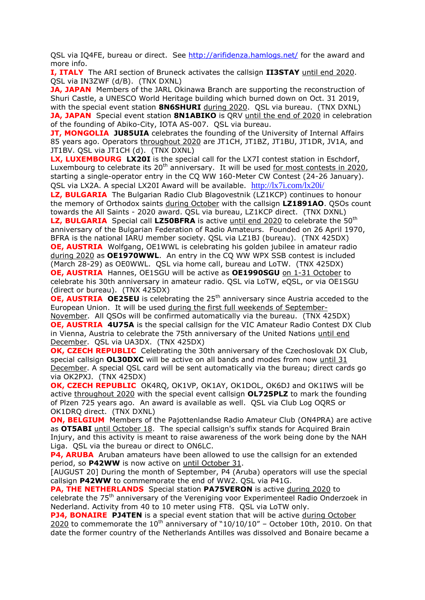QSL via IQ4FE, bureau or direct. See<http://arifidenza.hamlogs.net/> for the award and more info.

**I, ITALY** The ARI section of Bruneck activates the callsign **II3STAY** until end 2020. QSL via IN3ZWF (d/B). (TNX DXNL)

**JA, JAPAN** Members of the JARL Okinawa Branch are supporting the reconstruction of Shuri Castle, a UNESCO World Heritage building which burned down on Oct. 31 2019, with the special event station **8N6SHURI** during 2020. QSL via bureau. (TNX DXNL) **JA, JAPAN** Special event station **8N1ABIKO** is ORV until the end of 2020 in celebration of the founding of Abiko-City, IOTA AS-007. QSL via bureau.

**JT, MONGOLIA JU85UIA** celebrates the founding of the University of Internal Affairs 85 years ago. Operators throughout 2020 are JT1CH, JT1BZ, JT1BU, JT1DR, JV1A, and JT1BV. QSL via JT1CH (d). (TNX DXNL)

**LX, LUXEMBOURG LX20I** is the special call for the LX7I contest station in Eschdorf, Luxembourg to celebrate its  $20<sup>th</sup>$  anniversary. It will be used for most contests in 2020, starting a single-operator entry in the CQ WW 160-Meter CW Contest (24-26 January). QSL via LX2A. A special LX20I Award will be available. <http://lx7i.com/lx20i/>

LZ, BULGARIA The Bulgarian Radio Club Blagovestnik (LZ1KCP) continues to honour the memory of Orthodox saints during October with the callsign **LZ1891AO**. QSOs count towards the All Saints - 2020 award. QSL via bureau, LZ1KCP direct. (TNX DXNL) **LZ, BULGARIA** Special call LZ50BFRA is active until end 2020 to celebrate the 50<sup>th</sup> anniversary of the Bulgarian Federation of Radio Amateurs. Founded on 26 April 1970, BFRA is the national IARU member society. QSL via LZ1BJ (bureau). (TNX 425DX) **OE, AUSTRIA** Wolfgang, OE1WWL is celebrating his golden jubilee in amateur radio during 2020 as **OE1970WWL**. An entry in the CQ WW WPX SSB contest is included (March 28-29) as OE0WWL. QSL via home call, bureau and LoTW. (TNX 425DX) **OE, AUSTRIA** Hannes, OE1SGU will be active as **OE1990SGU** on 1-31 October to celebrate his 30th anniversary in amateur radio. QSL via LoTW, eQSL, or via OE1SGU (direct or bureau). (TNX 425DX)

**OE, AUSTRIA OE25EU** is celebrating the 25<sup>th</sup> anniversary since Austria acceded to the European Union. It will be used during the first full weekends of September-

November. All QSOs will be confirmed automatically via the bureau. (TNX 425DX) **OE, AUSTRIA 4U75A** is the special callsign for the VIC Amateur Radio Contest DX Club in Vienna, Austria to celebrate the 75th anniversary of the United Nations until end December. QSL via UA3DX. (TNX 425DX)

**OK, CZECH REPUBLIC** Celebrating the 30th anniversary of the Czechoslovak DX Club, special callsign **OL30DXC** will be active on all bands and modes from now until 31 December. A special QSL card will be sent automatically via the bureau; direct cards go via OK2PXJ. (TNX 425DX)

**OK, CZECH REPUBLIC** OK4RQ, OK1VP, OK1AY, OK1DOL, OK6DJ and OK1IWS will be active throughout 2020 with the special event callsign **OL725PLZ** to mark the founding of Plzen 725 years ago. An award is available as well. QSL via Club Log OQRS or OK1DRQ direct. (TNX DXNL)

**ON, BELGIUM** Members of the Pajottenlandse Radio Amateur Club (ON4PRA) are active as **OT5ABI** until October 18. The special callsign's suffix stands for Acquired Brain Injury, and this activity is meant to raise awareness of the work being done by the NAH Liga. QSL via the bureau or direct to ON6LC.

**P4, ARUBA** Aruban amateurs have been allowed to use the callsign for an extended period, so P42WW is now active on until October 31.

[AUGUST 20] During the month of September, P4 (Aruba) operators will use the special callsign **P42WW** to commemorate the end of WW2. QSL via P41G.

**PA, THE NETHERLANDS** Special station **PA75VERON** is active during 2020 to celebrate the 75<sup>th</sup> anniversary of the Vereniging voor Experimenteel Radio Onderzoek in Nederland. Activity from 40 to 10 meter using FT8. QSL via LoTW only.

**PJ4, BONAIRE PJ4TEN** is a special event station that will be active during October  $2020$  to commemorate the  $10<sup>th</sup>$  anniversary of "10/10/10" – October 10th, 2010. On that date the former country of the Netherlands Antilles was dissolved and Bonaire became a